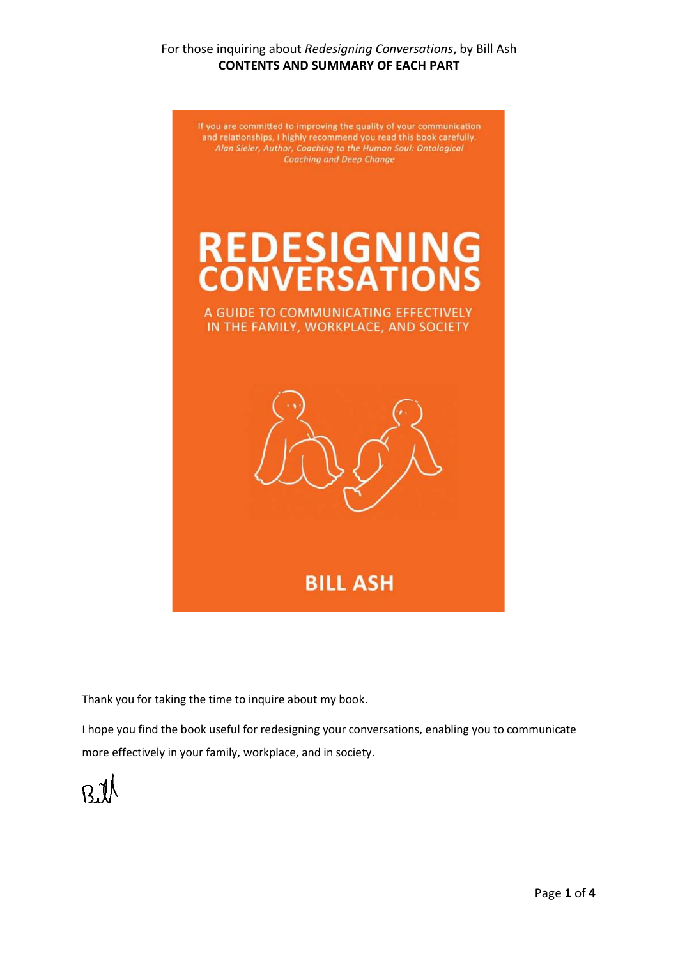### For those inquiring about *Redesigning Conversations*, by Bill Ash **CONTENTS AND SUMMARY OF EACH PART**

If you are committed to improving the quality of your communication and relationships, I highly recommend you read this book carefully. Alan Sieler, Author, Coaching to the Human Soul: Ontological **Coaching and Deep Change** 

# **REDESIGNING**<br>CONVERSATIONS

A GUIDE TO COMMUNICATING EFFECTIVELY IN THE FAMILY, WORKPLACE, AND SOCIETY



**BILL ASH** 

Thank you for taking the time to inquire about my book.

I hope you find the book useful for redesigning your conversations, enabling you to communicate more effectively in your family, workplace, and in society.

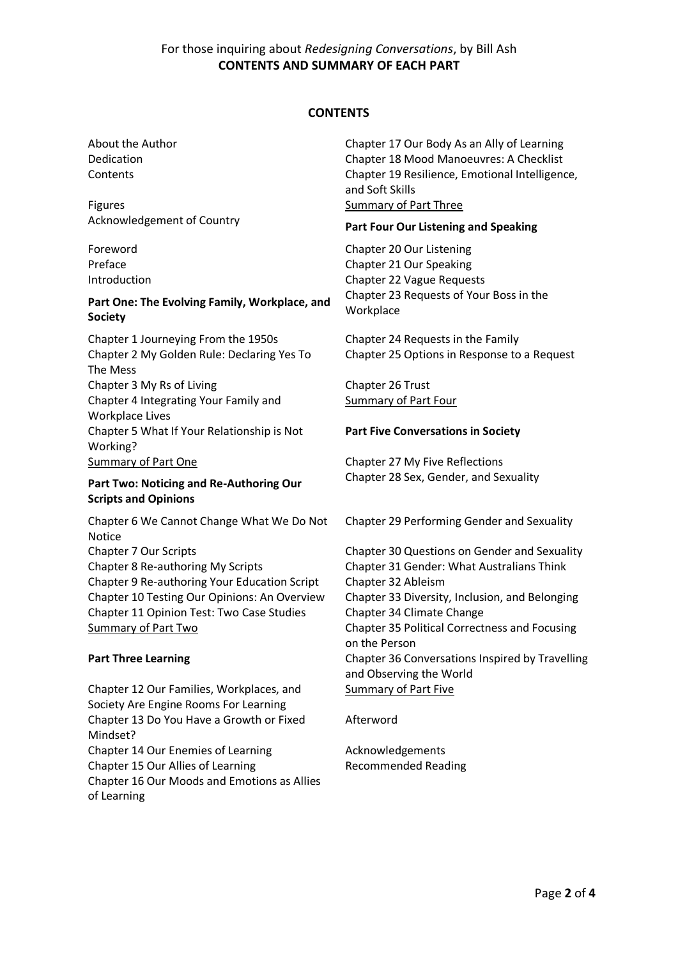#### **CONTENTS**

Figures **Summary of Part Three** 

#### **Part One: The Evolving Family, Workplace, and Society**

Chapter 1 Journeying From the 1950s Chapter 24 Requests in the Family Chapter 2 My Golden Rule: Declaring Yes To The Mess Chapter 3 My Rs of Living Chapter 26 Trust Chapter 4 Integrating Your Family and Workplace Lives Chapter 5 What If Your Relationship is Not Working? Summary of Part One Chapter 27 My Five Reflections

#### **Part Two: Noticing and Re-Authoring Our Scripts and Opinions**

Chapter 6 We Cannot Change What We Do Not Notice Chapter 7 Our Scripts Chapter 30 Questions on Gender and Sexuality Chapter 8 Re-authoring My Scripts Chapter 31 Gender: What Australians Think Chapter 9 Re-authoring Your Education Script Chapter 32 Ableism Chapter 10 Testing Our Opinions: An Overview Chapter 33 Diversity, Inclusion, and Belonging Chapter 11 Opinion Test: Two Case Studies Chapter 34 Climate Change

Chapter 12 Our Families, Workplaces, and Society Are Engine Rooms For Learning Chapter 13 Do You Have a Growth or Fixed Mindset? Chapter 14 Our Enemies of Learning The Acknowledgements Chapter 15 Our Allies of Learning Recommended Reading Chapter 16 Our Moods and Emotions as Allies of Learning

About the Author Chapter 17 Our Body As an Ally of Learning Dedication Chapter 18 Mood Manoeuvres: A Checklist Contents Chapter 19 Resilience, Emotional Intelligence, and Soft Skills

# Acknowledgement of Country **Part Four Our Listening and Speaking**

Foreword Chapter 20 Our Listening Preface **Chapter 21 Our Speaking** Introduction Chapter 22 Vague Requests Chapter 23 Requests of Your Boss in the **Workplace** 

Chapter 25 Options in Response to a Request

Summary of Part Four

#### **Part Five Conversations in Society**

Chapter 28 Sex, Gender, and Sexuality

Chapter 29 Performing Gender and Sexuality

Summary of Part Two Chapter 35 Political Correctness and Focusing on the Person **Part Three Learning Travelling Chapter 36 Conversations Inspired by Travelling** and Observing the World Summary of Part Five

#### Afterword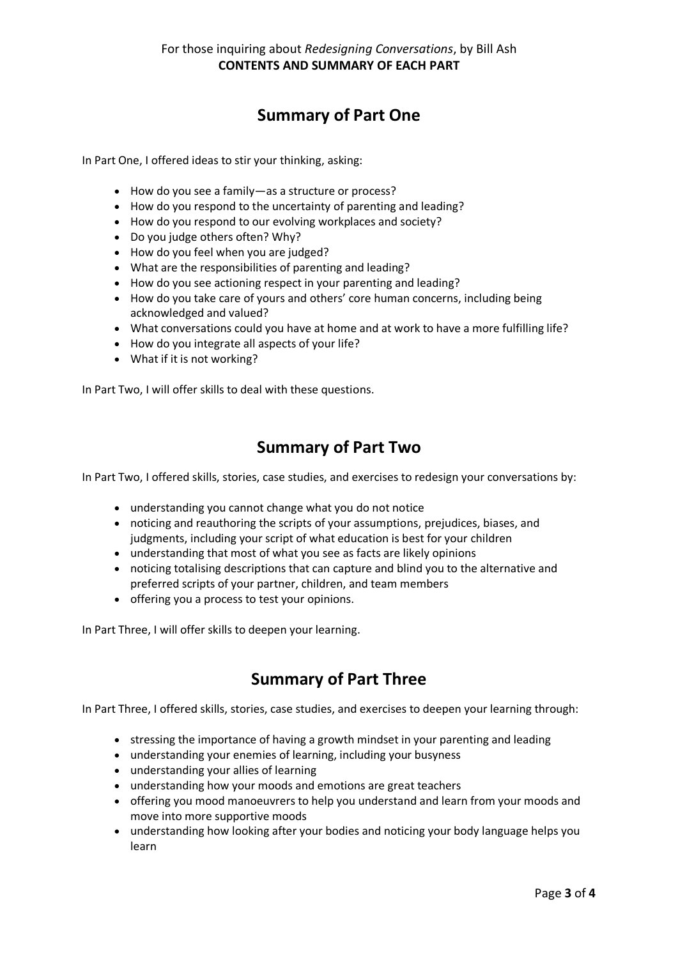# **Summary of Part One**

In Part One, I offered ideas to stir your thinking, asking:

- How do you see a family—as a structure or process?
- How do you respond to the uncertainty of parenting and leading?
- How do you respond to our evolving workplaces and society?
- Do you judge others often? Why?
- How do you feel when you are judged?
- What are the responsibilities of parenting and leading?
- How do you see actioning respect in your parenting and leading?
- How do you take care of yours and others' core human concerns, including being acknowledged and valued?
- What conversations could you have at home and at work to have a more fulfilling life?
- How do you integrate all aspects of your life?
- What if it is not working?

In Part Two, I will offer skills to deal with these questions.

# **Summary of Part Two**

In Part Two, I offered skills, stories, case studies, and exercises to redesign your conversations by:

- understanding you cannot change what you do not notice
- noticing and reauthoring the scripts of your assumptions, prejudices, biases, and judgments, including your script of what education is best for your children
- understanding that most of what you see as facts are likely opinions
- noticing totalising descriptions that can capture and blind you to the alternative and preferred scripts of your partner, children, and team members
- offering you a process to test your opinions.

In Part Three, I will offer skills to deepen your learning.

# **Summary of Part Three**

In Part Three, I offered skills, stories, case studies, and exercises to deepen your learning through:

- stressing the importance of having a growth mindset in your parenting and leading
- understanding your enemies of learning, including your busyness
- understanding your allies of learning
- understanding how your moods and emotions are great teachers
- offering you mood manoeuvrers to help you understand and learn from your moods and move into more supportive moods
- understanding how looking after your bodies and noticing your body language helps you learn